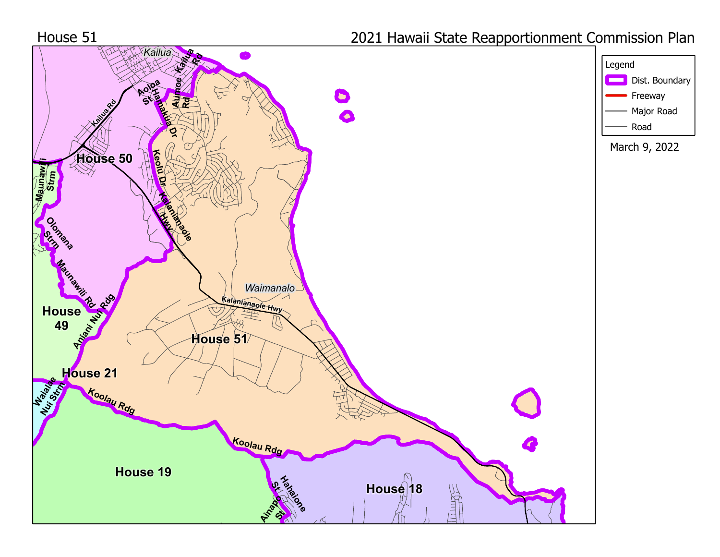